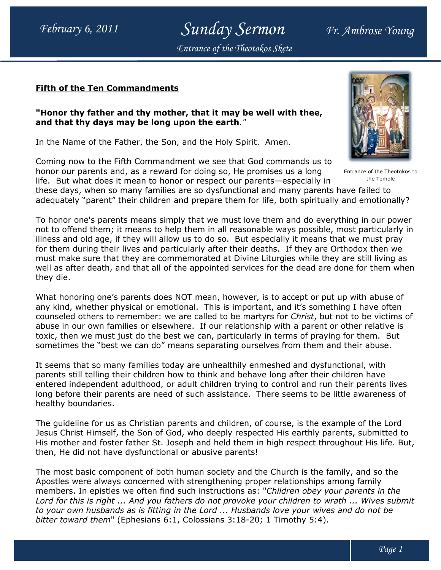Sunday Sermon Fr. Ambrose Young Entrance of the Theotokos Skete

#### <u>Fifth of the Ten Commandments</u>

#### "Honor thy father and thy mother, that it may be well with thee, and that thy days may be long upon the earth."

In the Name of the Father, the Son, and the Holy Spirit. Spirit. Amen.

Coming now to the Fifth Commandment we see that God commands us to honor our parents and, as a reward for doing so, He promises us a long Coming now to the Fifth Commandment we see that God commands us to<br>honor our parents and, as a reward for doing so, He promises us a long<br>life. But what does it mean to honor or respect our parents—especially in



the Temple

these days, when so many families are so dysfunctional and many parents have failed to adequately "parent" their children and prepare them for life, both spiritually and emotionally?

To honor one's parents means simply that we must love them and do everything in our power adequately "parent" their children and prepare them for life, both spiritually and emotionally?<br>To honor one's parents means simply that we must love them and do everything in our power<br>not to offend them; it means to help illness and old age, if they will allow us to do so. But especially it means that we must pray for them during their lives and particularly after their deaths. If they are Orthodox then we must make sure that they are commemorated at Divine Liturgies while they are still living as well as after death, and that all of the appointed services for the dead are done for them when they die. must make sure that they are commemorated at Divine Liturgies while they are still living as<br>well as after death, and that all of the appointed services for the dead are done for them wh<br>they die.<br>What honoring one's paren ur parents—especially in<br>ctional and many parents have failed to<br>em for life, both spiritually and emotionally<br>ist love them and do everything in our powe<br>easonable ways possible, most particularly<br>But especially it means Entrance of the Theotokos to<br>the Temple<br>ave failed to<br>and emotionally?<br>ning in our power<br>ost particularly in<br>t we must pray<br>hodox then we<br>are still living as<br>ne for them when<br>one for them when<br>one of I have often<br>to be vic

What honoring one's parents does NOT mean, however, is to accept or put up w any kind, whether physical or emotional. This is important, and it's something I have often counseled others to remember: we are called to be martyrs for *Christ*, but not to be victims of abuse in our own families or elsewhere. If our relationship with a parent or other relative is toxic, then we must just do the best we can, particularly in terms of praying for them. sometimes the "best we can do" means separating ourselves from them and their abuse. toxic, then we must just do the best we can, particularly in terms of praying for them. I<br>sometimes the "best we can do" means separating ourselves from them and their abuse<br>It seems that so many families today are unhealt This is important, and it's something I have often<br>lled to be martyrs for *Christ*, but not to be victims<br>f our relationship with a parent or other relative is<br>an, particularly in terms of praying for them. But

It seems that so many families today are unhealthily enmeshed and dysfunctional, with parents still telling their children how to think and behave long after their children have entered independent adulthood, or adult children trying to control and run their parents lives parents still telling their children how to think and behave long after their children have<br>entered independent adulthood, or adult children trying to control and run their parents lives<br>long before their parents are need healthy boundaries. are unhealthily enmeshed and dysfunctional, with<br>to think and behave long after their children have<br>ult children trying to control and run their parents live<br>such assistance. There seems to be little awareness of<br>nts and c

The guideline for us as Christian parents and children, of course, is the example of the Lord The guideline for us as Christian parents and children, of course, is the example of the Lord<br>Jesus Christ Himself, the Son of God, who deeply respected His earthly parents, submitted to His mother and foster father St. Joseph and held them in high respect throughout His life. But, then, He did not have dysfunctional or abusive parents!

The most basic component of both human society and the Church is the family, and so the Apostles were always concerned with strengthening proper relationships among family The most basic component of both human society and the Church is the family, and so the<br>Apostles were always concerned with strengthening proper relationships among family<br>members. In epistles we often find such instructio Lord for this is right ... And you fathers do not provoke your children to wrath ... Wives submit to your own husbands as is fitting in the Lord ... Husbands love your wives and do not be bitter toward them" (Ephesians 6:1, Colossians 3:18-20; 1 Timothy 5:4).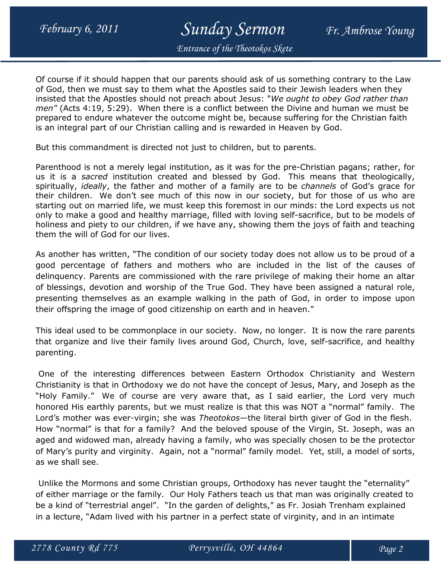# February 6, 2011 Sunday Sermon Fr. Ambrose Young

Entrance of the Theotokos Skete

Of course if it should happen that our parents should ask of us something contrary to the Law of God, then we must say to them what the Apostles said to their Jewish leaders when they insisted that the Apostles should not preach about Jesus: "We ought to obey God rather than men" (Acts 4:19, 5:29). When there is a conflict between the Divine and human we must be prepared to endure whatever the outcome might be, because suffering for the Christian faith is an integral part of our Christian calling and is rewarded in Heaven by God.

But this commandment is directed not just to children, but to parents.

Parenthood is not a merely legal institution, as it was for the pre-Christian pagans; rather, for us it is a sacred institution created and blessed by God. This means that theologically, spiritually, ideally, the father and mother of a family are to be channels of God's grace for their children. We don't see much of this now in our society, but for those of us who are starting out on married life, we must keep this foremost in our minds: the Lord expects us not only to make a good and healthy marriage, filled with loving self-sacrifice, but to be models of holiness and piety to our children, if we have any, showing them the joys of faith and teaching them the will of God for our lives.

As another has written, "The condition of our society today does not allow us to be proud of a good percentage of fathers and mothers who are included in the list of the causes of delinquency. Parents are commissioned with the rare privilege of making their home an altar of blessings, devotion and worship of the True God. They have been assigned a natural role, presenting themselves as an example walking in the path of God, in order to impose upon their offspring the image of good citizenship on earth and in heaven."

This ideal used to be commonplace in our society. Now, no longer. It is now the rare parents that organize and live their family lives around God, Church, love, self-sacrifice, and healthy parenting.

 One of the interesting differences between Eastern Orthodox Christianity and Western Christianity is that in Orthodoxy we do not have the concept of Jesus, Mary, and Joseph as the "Holy Family." We of course are very aware that, as I said earlier, the Lord very much honored His earthly parents, but we must realize is that this was NOT a "normal" family. The Lord's mother was ever-virgin; she was *Theotokos*—the literal birth giver of God in the flesh. How "normal" is that for a family? And the beloved spouse of the Virgin, St. Joseph, was an aged and widowed man, already having a family, who was specially chosen to be the protector of Mary's purity and virginity. Again, not a "normal" family model. Yet, still, a model of sorts, as we shall see.

 Unlike the Mormons and some Christian groups, Orthodoxy has never taught the "eternality" of either marriage or the family. Our Holy Fathers teach us that man was originally created to be a kind of "terrestrial angel". "In the garden of delights," as Fr. Josiah Trenham explained in a lecture, "Adam lived with his partner in a perfect state of virginity, and in an intimate